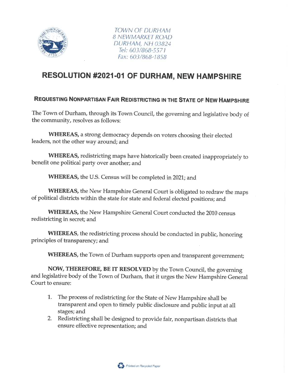

TOWN OF DURHAM 8 NEWMARKET ROAD DURHAM, NH 03824 Tel: 603/868-5577 Fax: 603/868-7858

## RESOLUTION #2021-01 OF DURHAM, NEW HAMPSHIRE

## REQUESTING NONPARTISAN FAIR REDISTRICTING IN THE STATE OF NEW HAMPSHIRE

The Town of Durham, through its Town Council, the governing and legislative body of the community, resolves as follows:

WHEREAS, a strong democracy depends on voters choosing their elected leaders, not the other way around; and

WHEREAS, redistricting maps have historically been created inappropriately to benefit one political party over another; and

WHEREAS, the U.S. Census will be completed in 2021; and

WHEREAS, the New Hampshire General Court is obligated to redraw the maps of political districts within the state for state and federal elected positions; and

WHEREAS, the New Hampshire General Court conducted the 2010 census redistricting in secret; and

WHEREAS, the redistricting process should be conducted in public, honoring principles of transparency; and

WHEREAS, the Town of Durham supports open and transparent government;

NOW, THEREFORE, BE IT RESOLVED by the Town Council, the governing and legislative body of the Town of Durham, that it urges the New Hampshire General Court to ensure:

- 1. The process of redistricting for the State of New Hampshire shall be transparent and open to timely public disclosure and public input at all stages; and
- 2. Redistricting shall be designed to provide fair, nonpartisan districts that ensure effective representation; and